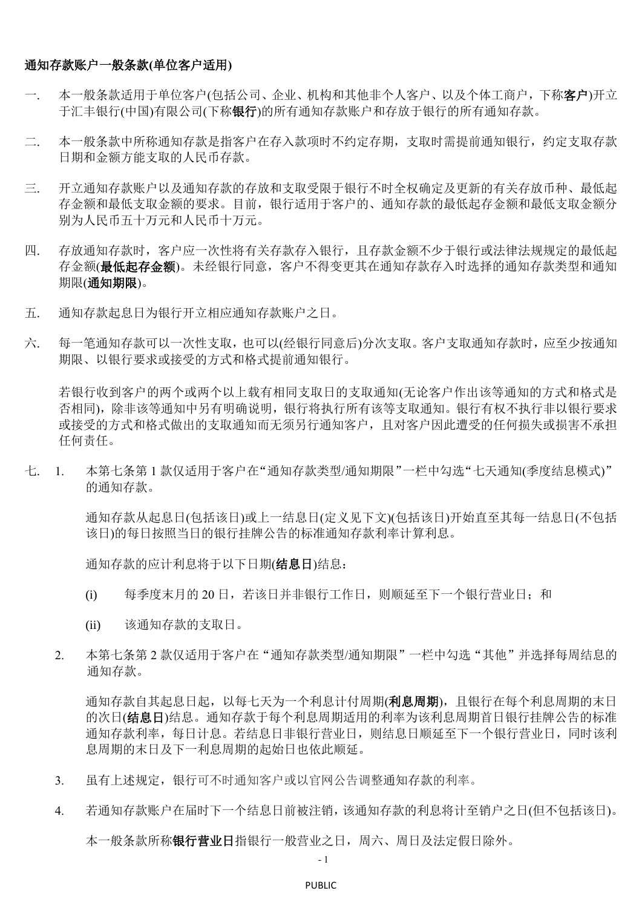## 通知存款账户一般条款**(**单位客户适用**)**

- 一. 本一般条款适用于单位客户(包括公司、企业、机构和其他非个人客户、以及个体工商户,下称**客户**)开立 于汇丰银行(中国)有限公司(下称银行)的所有通知存款账户和存放于银行的所有通知存款。
- 二. 本一般条款中所称通知存款是指客户在存入款项时不约定存期,支取时需提前通知银行,约定支取存款 日期和金额方能支取的人民币存款。
- 三. 开立通知存款账户以及通知存款的存放和支取受限于银行不时全权确定及更新的有关存放币种、最低起 存金额和最低支取金额的要求。目前,银行适用于客户的、通知存款的最低起存金额和最低支取金额分 别为人民币五十万元和人民币十万元。
- 四. 存放通知存款时,客户应一次性将有关存款存入银行,且存款金额不少于银行或法律法规规定的最低起 存金额(最低起存金额)。未经银行同意,客户不得变更其在通知存款存入时选择的通知存款类型和通知 期限(通知期限)。
- 五. 通知存款起息日为银行开立相应通知存款账户之日。
- 六. 每一笔通知存款可以一次性支取,也可以(经银行同意后)分次支取。客户支取通知存款时,应至少按通知 期限、以银行要求或接受的方式和格式提前通知银行。

若银行收到客户的两个或两个以上载有相同支取日的支取通知(无论客户作出该等通知的方式和格式是 否相同),除非该等通知中另有明确说明,银行将执行所有该等支取通知。银行有权不执行非以银行要求 或接受的方式和格式做出的支取通知而无须另行通知客户,且对客户因此遭受的任何损失或损害不承担 任何责任。

七. 1. 本第七条第 1 款仅适用于客户在"通知存款类型/通知期限"一栏中勾选"七天通知(季度结息模式)" 的通知存款。

> 通知存款从起息日(包括该日)或上一结息日(定义见下文)(包括该日)开始直至其每一结息日(不包括 该日)的每日按照当日的银行挂牌公告的标准通知存款利率计算利息。

通知存款的应计利息将于以下日期(结息日)结息:

- (i) 每季度末月的 20 日,若该日并非银行工作日,则顺延至下一个银行营业日;和
- (ii) 该通知存款的支取日。
- 2. 本第七条第 2 款仅适用于客户在"通知存款类型/通知期限"一栏中勾选"其他"并选择每周结息的 通知存款。

通知存款自其起息日起,以每七天为一个利息计付周期(利息周期),且银行在每个利息周期的末日 的次日(结息日)结息。通知存款于每个利息周期适用的利率为该利息周期首日银行挂牌公告的标准 通知存款利率,每日计息。若结息日非银行营业日,则结息日顺延至下一个银行营业日,同时该利 息周期的末日及下一利息周期的起始日也依此顺延。

- 3. 虽有上述规定,银行可不时通知客户或以官网公告调整通知存款的利率。
- 4. 若通知存款账户在届时下一个结息日前被注销,该通知存款的利息将计至销户之日(但不包括该日)。

本一般条款所称银行营业日指银行一般营业之日,周六、周日及法定假日除外。

- 1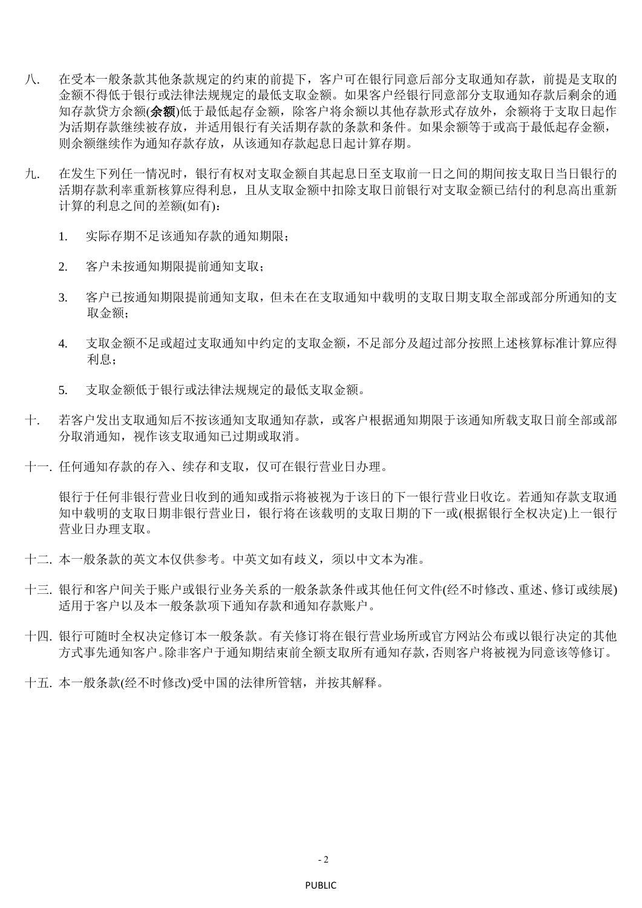- 八. 在受本一般条款其他条款规定的约束的前提下,客户可在银行同意后部分支取通知存款,前提是支取的 金额不得低于银行或法律法规规定的最低支取金额。如果客户经银行同意部分支取通知存款后剩余的通 知存款贷方余额(余额)低于最低起存金额,除客户将余额以其他存款形式存放外,余额将于支取日起作 为活期存款继续被存放,并适用银行有关活期存款的条款和条件。如果余额等于或高于最低起存金额, 则余额继续作为通知存款存放,从该通知存款起息日起计算存期。
- 九. 在发生下列任一情况时,银行有权对支取金额自其起息日至支取前一日之间的期间按支取日当日银行的 活期存款利率重新核算应得利息,且从支取金额中扣除支取日前银行对支取金额已结付的利息高出重新 计算的利息之间的差额(如有):
	- 1. 实际存期不足该通知存款的通知期限;
	- 2. 客户未按通知期限提前通知支取;
	- 3. 客户已按通知期限提前通知支取,但未在在支取通知中载明的支取日期支取全部或部分所通知的支 取金额;
	- 4. 支取金额不足或超过支取通知中约定的支取金额,不足部分及超过部分按照上述核算标准计算应得 利息;
	- 5. 支取金额低于银行或法律法规规定的最低支取金额。
- 十. 若客户发出支取通知后不按该通知支取通知存款,或客户根据通知期限于该通知所载支取日前全部或部 分取消通知,视作该支取通知已过期或取消。
- 十一. 任何通知存款的存入、续存和支取,仅可在银行营业日办理。

银行于任何非银行营业日收到的通知或指示将被视为于该日的下一银行营业日收讫。若通知存款支取通 知中载明的支取日期非银行营业日,银行将在该载明的支取日期的下一或(根据银行全权决定)上一银行 营业日办理支取。

- 十二. 本一般条款的英文本仅供参考。中英文如有歧义,须以中文本为准。
- 十三. 银行和客户间关于账户或银行业务关系的一般条款条件或其他任何文件(经不时修改、重述、修订或续展) 适用于客户以及本一般条款项下通知存款和通知存款账户。
- 十四. 银行可随时全权决定修订本一般条款。有关修订将在银行营业场所或官方网站公布或以银行决定的其他 方式事先通知客户。除非客户于通知期结束前全额支取所有通知存款,否则客户将被视为同意该等修订。
- 十五. 本一般条款(经不时修改)受中国的法律所管辖,并按其解释。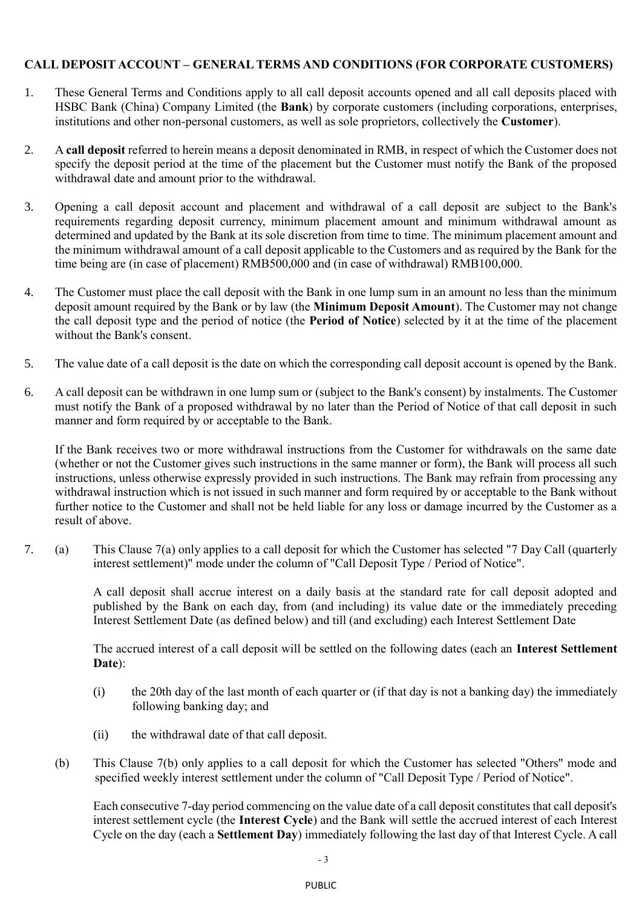## **CALL DEPOSIT ACCOUNT – GENERAL TERMS AND CONDITIONS (FOR CORPORATE CUSTOMERS)**

- 1. These General Terms and Conditions apply to all call deposit accounts opened and all call deposits placed with HSBC Bank (China) Company Limited (the **Bank**) by corporate customers (including corporations, enterprises, institutions and other non-personal customers, as well as sole proprietors, collectively the **Customer**).
- 2. A **call deposit** referred to herein means a deposit denominated in RMB, in respect of which the Customer does not specify the deposit period at the time of the placement but the Customer must notify the Bank of the proposed withdrawal date and amount prior to the withdrawal.
- 3. Opening a call deposit account and placement and withdrawal of a call deposit are subject to the Bank's requirements regarding deposit currency, minimum placement amount and minimum withdrawal amount as determined and updated by the Bank at its sole discretion from time to time. The minimum placement amount and the minimum withdrawal amount of a call deposit applicable to the Customers and as required by the Bank for the time being are (in case of placement) RMB500,000 and (in case of withdrawal) RMB100,000.
- 4. The Customer must place the call deposit with the Bank in one lump sum in an amount no less than the minimum deposit amount required by the Bank or by law (the **Minimum Deposit Amount**). The Customer may not change the call deposit type and the period of notice (the **Period of Notice**) selected by it at the time of the placement without the Bank's consent.
- 5. The value date of a call deposit is the date on which the corresponding call deposit account is opened by the Bank.
- 6. A call deposit can be withdrawn in one lump sum or (subject to the Bank's consent) by instalments. The Customer must notify the Bank of a proposed withdrawal by no later than the Period of Notice of that call deposit in such manner and form required by or acceptable to the Bank.

If the Bank receives two or more withdrawal instructions from the Customer for withdrawals on the same date (whether or not the Customer gives such instructions in the same manner or form), the Bank will process all such instructions, unless otherwise expressly provided in such instructions. The Bank may refrain from processing any withdrawal instruction which is not issued in such manner and form required by or acceptable to the Bank without further notice to the Customer and shall not be held liable for any loss or damage incurred by the Customer as a result of above.

7. (a) This Clause 7(a) only applies to a call deposit for which the Customer has selected "7 Day Call (quarterly interest settlement)" mode under the column of "Call Deposit Type / Period of Notice".

> A call deposit shall accrue interest on a daily basis at the standard rate for call deposit adopted and published by the Bank on each day, from (and including) its value date or the immediately preceding Interest Settlement Date (as defined below) and till (and excluding) each Interest Settlement Date

> The accrued interest of a call deposit will be settled on the following dates (each an **Interest Settlement Date**):

- (i) the 20th day of the last month of each quarter or (if that day is not a banking day) the immediately following banking day; and
- (ii) the withdrawal date of that call deposit.
- (b) This Clause 7(b) only applies to a call deposit for which the Customer has selected "Others" mode and specified weekly interest settlement under the column of "Call Deposit Type / Period of Notice".

Each consecutive 7-day period commencing on the value date of a call deposit constitutes that call deposit's interest settlement cycle (the **Interest Cycle**) and the Bank will settle the accrued interest of each Interest Cycle on the day (each a **Settlement Day**) immediately following the last day of that Interest Cycle. A call

 $-3$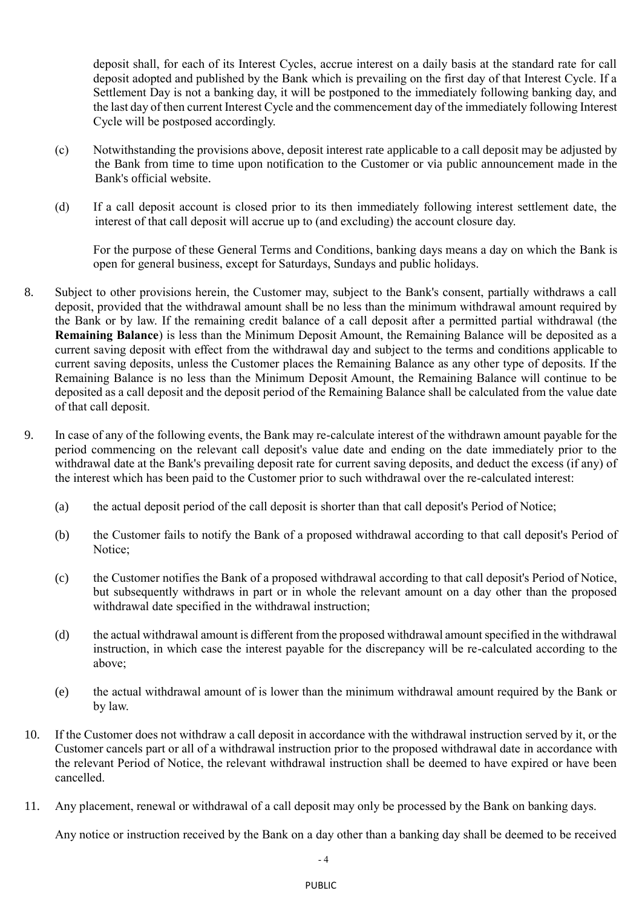deposit shall, for each of its Interest Cycles, accrue interest on a daily basis at the standard rate for call deposit adopted and published by the Bank which is prevailing on the first day of that Interest Cycle. If a Settlement Day is not a banking day, it will be postponed to the immediately following banking day, and the last day of then current Interest Cycle and the commencement day of the immediately following Interest Cycle will be postposed accordingly.

- (c) Notwithstanding the provisions above, deposit interest rate applicable to a call deposit may be adjusted by the Bank from time to time upon notification to the Customer or via public announcement made in the Bank's official website.
- (d) If a call deposit account is closed prior to its then immediately following interest settlement date, the interest of that call deposit will accrue up to (and excluding) the account closure day.

For the purpose of these General Terms and Conditions, banking days means a day on which the Bank is open for general business, except for Saturdays, Sundays and public holidays.

- 8. Subject to other provisions herein, the Customer may, subject to the Bank's consent, partially withdraws a call deposit, provided that the withdrawal amount shall be no less than the minimum withdrawal amount required by the Bank or by law. If the remaining credit balance of a call deposit after a permitted partial withdrawal (the **Remaining Balance**) is less than the Minimum Deposit Amount, the Remaining Balance will be deposited as a current saving deposit with effect from the withdrawal day and subject to the terms and conditions applicable to current saving deposits, unless the Customer places the Remaining Balance as any other type of deposits. If the Remaining Balance is no less than the Minimum Deposit Amount, the Remaining Balance will continue to be deposited as a call deposit and the deposit period of the Remaining Balance shall be calculated from the value date of that call deposit.
- 9. In case of any of the following events, the Bank may re-calculate interest of the withdrawn amount payable for the period commencing on the relevant call deposit's value date and ending on the date immediately prior to the withdrawal date at the Bank's prevailing deposit rate for current saving deposits, and deduct the excess (if any) of the interest which has been paid to the Customer prior to such withdrawal over the re-calculated interest:
	- (a) the actual deposit period of the call deposit is shorter than that call deposit's Period of Notice;
	- (b) the Customer fails to notify the Bank of a proposed withdrawal according to that call deposit's Period of Notice;
	- (c) the Customer notifies the Bank of a proposed withdrawal according to that call deposit's Period of Notice, but subsequently withdraws in part or in whole the relevant amount on a day other than the proposed withdrawal date specified in the withdrawal instruction;
	- (d) the actual withdrawal amount is different from the proposed withdrawal amount specified in the withdrawal instruction, in which case the interest payable for the discrepancy will be re-calculated according to the above;
	- (e) the actual withdrawal amount of is lower than the minimum withdrawal amount required by the Bank or by law.
- 10. If the Customer does not withdraw a call deposit in accordance with the withdrawal instruction served by it, or the Customer cancels part or all of a withdrawal instruction prior to the proposed withdrawal date in accordance with the relevant Period of Notice, the relevant withdrawal instruction shall be deemed to have expired or have been cancelled.
- 11. Any placement, renewal or withdrawal of a call deposit may only be processed by the Bank on banking days.

Any notice or instruction received by the Bank on a day other than a banking day shall be deemed to be received

- 4